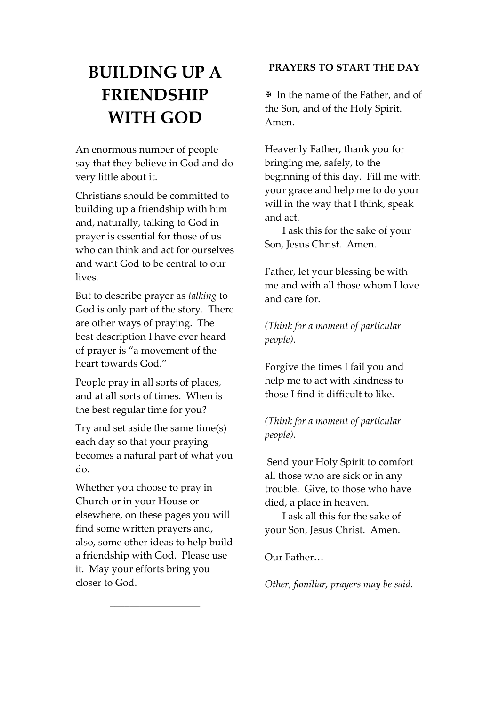# **BUILDING UP A FRIENDSHIP WITH GOD**

An enormous number of people say that they believe in God and do very little about it.

Christians should be committed to building up a friendship with him and, naturally, talking to God in prayer is essential for those of us who can think and act for ourselves and want God to be central to our lives.

But to describe prayer as *talking* to God is only part of the story. There are other ways of praying. The best description I have ever heard of prayer is "a movement of the heart towards God."

People pray in all sorts of places, and at all sorts of times. When is the best regular time for you?

Try and set aside the same time(s) each day so that your praying becomes a natural part of what you do.

Whether you choose to pray in Church or in your House or elsewhere, on these pages you will find some written prayers and, also, some other ideas to help build a friendship with God. Please use it. May your efforts bring you closer to God.

\_\_\_\_\_\_\_\_\_\_\_\_\_\_\_\_\_\_

## **PRAYERS TO START THE DAY**

? In the name of the Father, and of the Son, and of the Holy Spirit. Amen.

Heavenly Father, thank you for bringing me, safely, to the beginning of this day. Fill me with your grace and help me to do your will in the way that I think, speak and act.

 I ask this for the sake of your Son, Jesus Christ. Amen.

Father, let your blessing be with me and with all those whom I love and care for.

*(Think for a moment of particular people).*

Forgive the times I fail you and help me to act with kindness to those I find it difficult to like.

*(Think for a moment of particular people).*

Send your Holy Spirit to comfort all those who are sick or in any trouble. Give, to those who have died, a place in heaven.

 I ask all this for the sake of your Son, Jesus Christ. Amen.

Our Father…

*Other, familiar, prayers may be said.*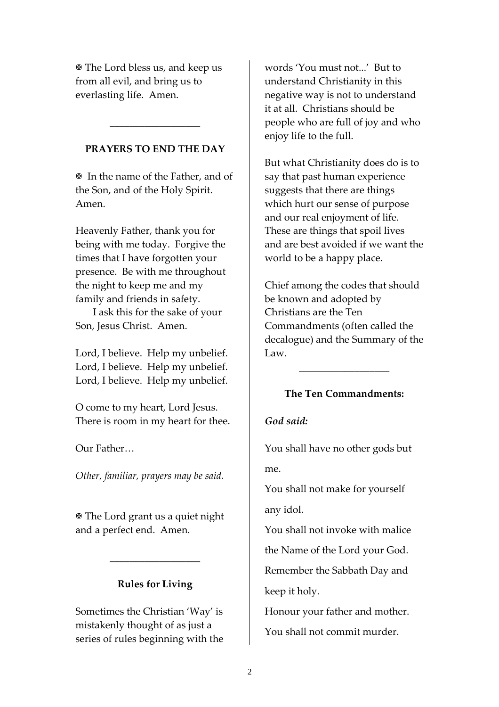? The Lord bless us, and keep us from all evil, and bring us to everlasting life. Amen.

## **PRAYERS TO END THE DAY**

\_\_\_\_\_\_\_\_\_\_\_\_\_\_\_\_\_\_

? In the name of the Father, and of the Son, and of the Holy Spirit. Amen.

Heavenly Father, thank you for being with me today. Forgive the times that I have forgotten your presence. Be with me throughout the night to keep me and my family and friends in safety.

 I ask this for the sake of your Son, Jesus Christ. Amen.

Lord, I believe. Help my unbelief. Lord, I believe. Help my unbelief. Lord, I believe. Help my unbelief.

O come to my heart, Lord Jesus. There is room in my heart for thee.

## Our Father…

*Other, familiar, prayers may be said.*

? The Lord grant us a quiet night and a perfect end. Amen.

## **Rules for Living**

\_\_\_\_\_\_\_\_\_\_\_\_\_\_\_\_\_\_

Sometimes the Christian 'Way' is mistakenly thought of as just a series of rules beginning with the words 'You must not...' But to understand Christianity in this negative way is not to understand it at all. Christians should be people who are full of joy and who enjoy life to the full.

But what Christianity does do is to say that past human experience suggests that there are things which hurt our sense of purpose and our real enjoyment of life. These are things that spoil lives and are best avoided if we want the world to be a happy place.

Chief among the codes that should be known and adopted by Christians are the Ten Commandments (often called the decalogue) and the Summary of the Law.

## **The Ten Commandments:**

\_\_\_\_\_\_\_\_\_\_\_\_\_\_\_\_\_\_

## *God said:*

You shall have no other gods but me.

You shall not make for yourself any idol.

You shall not invoke with malice the Name of the Lord your God. Remember the Sabbath Day and keep it holy.

Honour your father and mother. You shall not commit murder.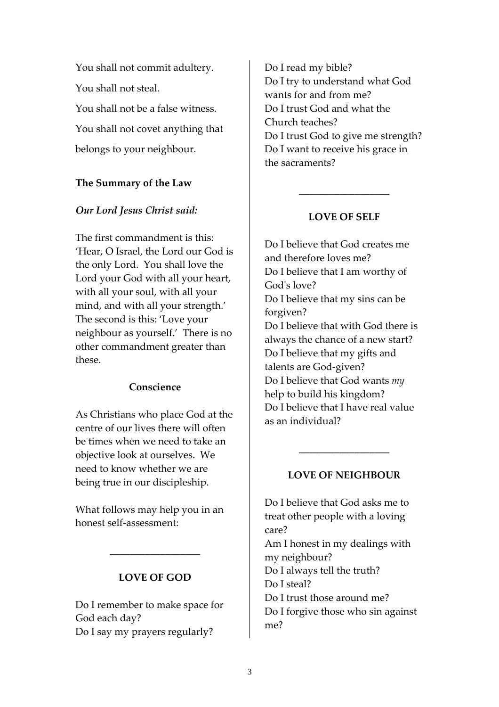You shall not commit adultery. You shall not steal. You shall not be a false witness. You shall not covet anything that belongs to your neighbour.

## **The Summary of the Law**

## *Our Lord Jesus Christ said:*

The first commandment is this: 'Hear, O Israel, the Lord our God is the only Lord. You shall love the Lord your God with all your heart, with all your soul, with all your mind, and with all your strength.' The second is this: 'Love your neighbour as yourself.' There is no other commandment greater than these.

#### **Conscience**

As Christians who place God at the centre of our lives there will often be times when we need to take an objective look at ourselves. We need to know whether we are being true in our discipleship.

What follows may help you in an honest self‐assessment:

## **LOVE OF GOD**

\_\_\_\_\_\_\_\_\_\_\_\_\_\_\_\_\_\_

Do I remember to make space for God each day? Do I say my prayers regularly?

Do I read my bible? Do I try to understand what God wants for and from me? Do I trust God and what the Church teaches? Do I trust God to give me strength? Do I want to receive his grace in the sacraments?

## **LOVE OF SELF**

\_\_\_\_\_\_\_\_\_\_\_\_\_\_\_\_\_\_

Do I believe that God creates me and therefore loves me? Do I believe that I am worthy of God's love? Do I believe that my sins can be forgiven? Do I believe that with God there is always the chance of a new start? Do I believe that my gifts and talents are God‐given? Do I believe that God wants *my* help to build his kingdom? Do I believe that I have real value as an individual?

## **LOVE OF NEIGHBOUR**

\_\_\_\_\_\_\_\_\_\_\_\_\_\_\_\_\_\_

Do I believe that God asks me to treat other people with a loving care? Am I honest in my dealings with my neighbour? Do I always tell the truth? Do I steal? Do I trust those around me? Do I forgive those who sin against me?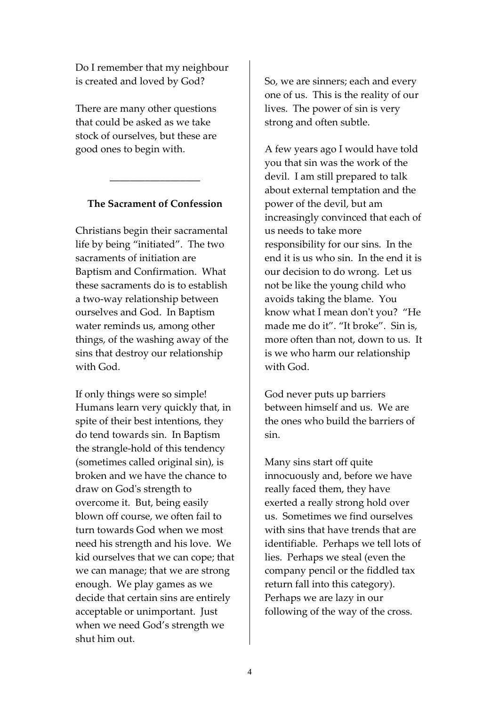Do I remember that my neighbour is created and loved by God?

There are many other questions that could be asked as we take stock of ourselves, but these are good ones to begin with.

## **The Sacrament of Confession**

\_\_\_\_\_\_\_\_\_\_\_\_\_\_\_\_\_\_

Christians begin their sacramental life by being "initiated". The two sacraments of initiation are Baptism and Confirmation. What these sacraments do is to establish a two‐way relationship between ourselves and God. In Baptism water reminds us, among other things, of the washing away of the sins that destroy our relationship with God.

If only things were so simple! Humans learn very quickly that, in spite of their best intentions, they do tend towards sin. In Baptism the strangle‐hold of this tendency (sometimes called original sin), is broken and we have the chance to draw on Godʹs strength to overcome it. But, being easily blown off course, we often fail to turn towards God when we most need his strength and his love. We kid ourselves that we can cope; that we can manage; that we are strong enough. We play games as we decide that certain sins are entirely acceptable or unimportant. Just when we need God's strength we shut him out.

So, we are sinners; each and every one of us. This is the reality of our lives. The power of sin is very strong and often subtle.

A few years ago I would have told you that sin was the work of the devil. I am still prepared to talk about external temptation and the power of the devil, but am increasingly convinced that each of us needs to take more responsibility for our sins. In the end it is us who sin. In the end it is our decision to do wrong. Let us not be like the young child who avoids taking the blame. You know what I mean donʹt you? "He made me do it". "It broke". Sin is, more often than not, down to us. It is we who harm our relationship with God.

God never puts up barriers between himself and us. We are the ones who build the barriers of sin.

Many sins start off quite innocuously and, before we have really faced them, they have exerted a really strong hold over us. Sometimes we find ourselves with sins that have trends that are identifiable. Perhaps we tell lots of lies. Perhaps we steal (even the company pencil or the fiddled tax return fall into this category). Perhaps we are lazy in our following of the way of the cross.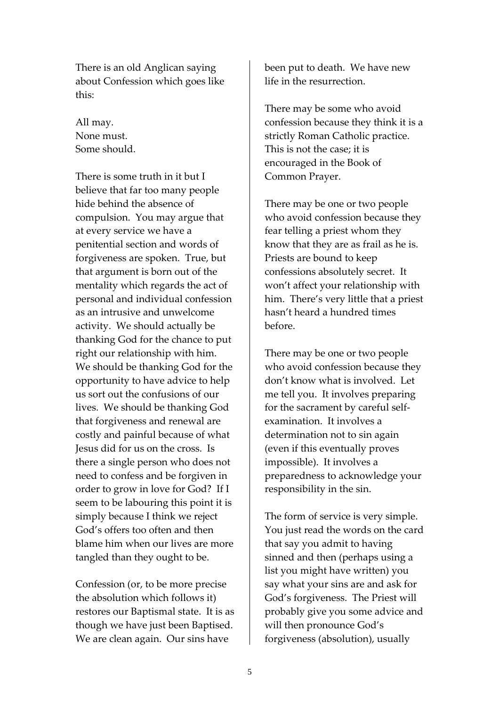There is an old Anglican saying about Confession which goes like this:

All may. None must. Some should.

There is some truth in it but I believe that far too many people hide behind the absence of compulsion. You may argue that at every service we have a penitential section and words of forgiveness are spoken. True, but that argument is born out of the mentality which regards the act of personal and individual confession as an intrusive and unwelcome activity. We should actually be thanking God for the chance to put right our relationship with him. We should be thanking God for the opportunity to have advice to help us sort out the confusions of our lives. We should be thanking God that forgiveness and renewal are costly and painful because of what Jesus did for us on the cross. Is there a single person who does not need to confess and be forgiven in order to grow in love for God? If I seem to be labouring this point it is simply because I think we reject God's offers too often and then blame him when our lives are more tangled than they ought to be.

Confession (or, to be more precise the absolution which follows it) restores our Baptismal state. It is as though we have just been Baptised. We are clean again. Our sins have

been put to death. We have new life in the resurrection.

There may be some who avoid confession because they think it is a strictly Roman Catholic practice. This is not the case; it is encouraged in the Book of Common Prayer.

There may be one or two people who avoid confession because they fear telling a priest whom they know that they are as frail as he is. Priests are bound to keep confessions absolutely secret. It won't affect your relationship with him. There's very little that a priest hasn't heard a hundred times before.

There may be one or two people who avoid confession because they don't know what is involved. Let me tell you. It involves preparing for the sacrament by careful self‐ examination. It involves a determination not to sin again (even if this eventually proves impossible). It involves a preparedness to acknowledge your responsibility in the sin.

The form of service is very simple. You just read the words on the card that say you admit to having sinned and then (perhaps using a list you might have written) you say what your sins are and ask for God's forgiveness. The Priest will probably give you some advice and will then pronounce God's forgiveness (absolution), usually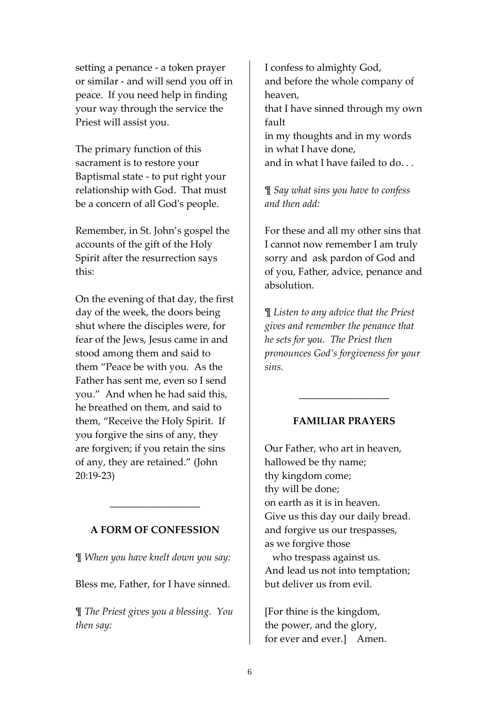setting a penance ‐ a token prayer or similar ‐ and will send you off in peace. If you need help in finding your way through the service the Priest will assist you.

The primary function of this sacrament is to restore your Baptismal state ‐ to put right your relationship with God. That must be a concern of all God's people.

Remember, in St. John's gospel the accounts of the gift of the Holy Spirit after the resurrection says this:

On the evening of that day, the first day of the week, the doors being shut where the disciples were, for fear of the Jews, Jesus came in and stood among them and said to them "Peace be with you. As the Father has sent me, even so I send you." And when he had said this, he breathed on them, and said to them, "Receive the Holy Spirit. If you forgive the sins of any, they are forgiven; if you retain the sins of any, they are retained." (John 20:19‐23)

#### **A FORM OF CONFESSION**

\_\_\_\_\_\_\_\_\_\_\_\_\_\_\_\_\_\_

¶ *When you have knelt down you say:*

Bless me, Father, for I have sinned.

¶ *The Priest gives you a blessing. You then say:*

I confess to almighty God, and before the whole company of heaven, that I have sinned through my own fault in my thoughts and in my words in what I have done, and in what I have failed to do. . .

¶ *Say what sins you have to confess and then add:*

For these and all my other sins that I cannot now remember I am truly sorry and ask pardon of God and of you, Father, advice, penance and absolution.

¶ *Listen to any advice that the Priest gives and remember the penance that he sets for you. The Priest then pronounces God's forgiveness for your sins.*

#### **FAMILIAR PRAYERS**

\_\_\_\_\_\_\_\_\_\_\_\_\_\_\_\_\_\_

Our Father, who art in heaven, hallowed be thy name; thy kingdom come; thy will be done; on earth as it is in heaven. Give us this day our daily bread. and forgive us our trespasses, as we forgive those who trespass against us. And lead us not into temptation; but deliver us from evil.

[For thine is the kingdom, the power, and the glory, for ever and ever.] Amen.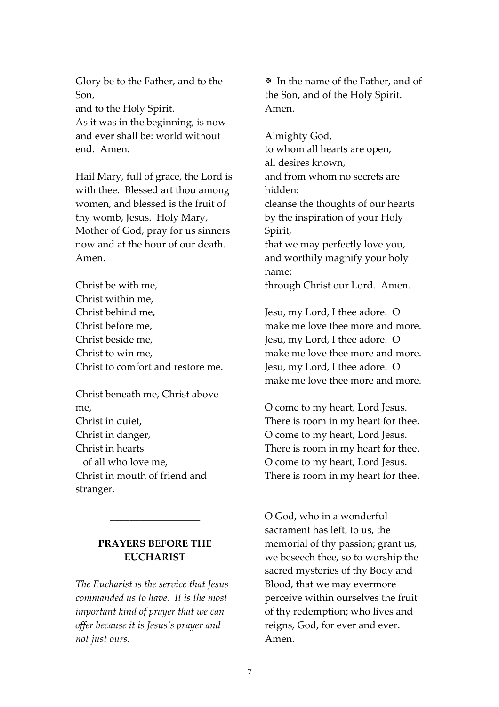Glory be to the Father, and to the Son, and to the Holy Spirit.

As it was in the beginning, is now and ever shall be: world without end. Amen.

Hail Mary, full of grace, the Lord is with thee. Blessed art thou among women, and blessed is the fruit of thy womb, Jesus. Holy Mary, Mother of God, pray for us sinners now and at the hour of our death. Amen.

Christ be with me, Christ within me, Christ behind me, Christ before me, Christ beside me, Christ to win me, Christ to comfort and restore me.

Christ beneath me, Christ above me, Christ in quiet, Christ in danger, Christ in hearts of all who love me, Christ in mouth of friend and stranger.

## **PRAYERS BEFORE THE EUCHARIST**

\_\_\_\_\_\_\_\_\_\_\_\_\_\_\_\_\_\_

*The Eucharist is the service that Jesus commanded us to have. It is the most important kind of prayer that we can offer because it is Jesus's prayer and not just ours.*

 $\mathbb F$  In the name of the Father, and of the Son, and of the Holy Spirit. Amen.

Almighty God, to whom all hearts are open, all desires known, and from whom no secrets are hidden: cleanse the thoughts of our hearts by the inspiration of your Holy Spirit, that we may perfectly love you, and worthily magnify your holy name; through Christ our Lord. Amen.

Jesu, my Lord, I thee adore. O make me love thee more and more. Jesu, my Lord, I thee adore. O make me love thee more and more. Jesu, my Lord, I thee adore. O make me love thee more and more.

O come to my heart, Lord Jesus. There is room in my heart for thee. O come to my heart, Lord Jesus. There is room in my heart for thee. O come to my heart, Lord Jesus. There is room in my heart for thee.

O God, who in a wonderful sacrament has left, to us, the memorial of thy passion; grant us, we beseech thee, so to worship the sacred mysteries of thy Body and Blood, that we may evermore perceive within ourselves the fruit of thy redemption; who lives and reigns, God, for ever and ever. Amen.